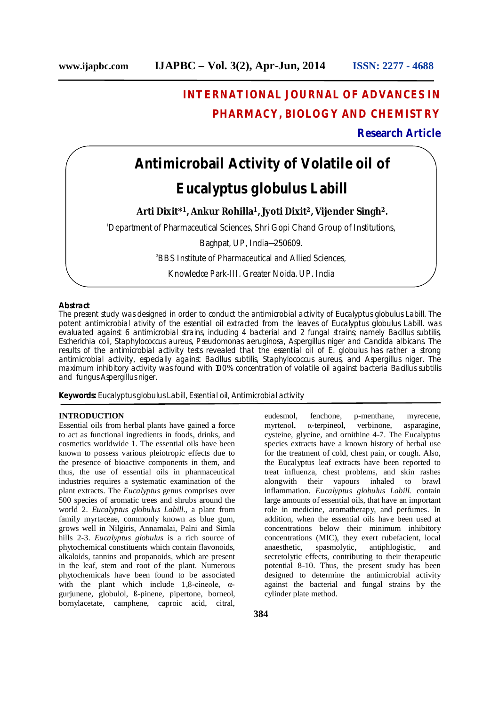# **INTERNATIONAL JOURNAL OF ADVANCES IN PHARMACY, BIOLOGY AND CHEMISTRY**

### **Research Article**

# **Antimicrobail Activity of Volatile oil of**

## *Eucalyptus globulus Labill*

**Arti Dixit\*<sup>1</sup>, Ankur Rohilla<sup>1</sup>, Jyoti Dixit<sup>2</sup>, Vijender Singh<sup>2</sup>.**

<sup>1</sup>Department of Pharmaceutical Sciences, Shri Gopi Chand Group of Institutions,

Baghpat, UP, India—250609.

<sup>2</sup>BBS Institute of Pharmaceutical and Allied Sciences,

Knowledge Park-III, Greater Noida, UP, India

#### **Abstract**

The present study was designed in order to conduct the antimicrobial activity of *Eucalyptus globulus Labill*. The potent antimicrobial ativity of the essential oil extracted from the leaves of Eucalyptus globulus Labill. was evaluated against 6 antimicrobial strains, including 4 bacterial and 2 fungal strains; namely *Bacillus subtilis*, *Escherichia coli*, *Staphylococcus aureus*, *Pseudomonas aeruginosa*, *Aspergillus niger* and *Candida albicans*. The results of the antimicrobial activity tests revealed that the essential oil of E. globulus has rather a strong antimicrobial activity, especially against *Bacillus subtilis*, Staphylococcus aureus, and *Aspergillus niger*. The maximum inhibitory activity was found with 100% concentration of volatile oil against bacteria *Bacillus subtilis* and fungus *Aspergillus niger*.

**Keywords:** *Eucalyptus globulus Labill,* Essential oil, Antimicrobial activity

#### **INTRODUCTION**

Essential oils from herbal plants have gained a force to act as functional ingredients in foods, drinks, and cosmetics worldwide 1. The essential oils have been known to possess various pleiotropic effects due to the presence of bioactive components in them, and thus, the use of essential oils in pharmaceutical industries requires a systematic examination of the plant extracts. The *Eucalyptus* genus comprises over 500 species of aromatic trees and shrubs around the world 2. *Eucalyptus globulus Labill*., a plant from family myrtaceae, commonly known as blue gum, grows well in Nilgiris, Annamalai, Palni and Simla hills 2-3. *Eucalyptus globulus* is a rich source of phytochemical constituents which contain flavonoids, alkaloids, tannins and propanoids, which are present in the leaf, stem and root of the plant. Numerous phytochemicals have been found to be associated with the plant which include 1,8-cineole,  $\alpha$ gurjunene, globulol, ß-pinene, pipertone, borneol, bornylacetate, camphene, caproic acid, citral,

treat influenza, chest problems, and skin rashes alongwith their vapours inhaled to brawl inflammation. *Eucalyptus globulus Labill.* contain large amounts of essential oils, that have an important role in medicine, aromatherapy, and perfumes. In addition, when the essential oils have been used at concentrations below their minimum inhibitory concentrations (MIC), they exert rubefacient, local anaesthetic, spasmolytic, antiphlogistic, and secretolytic effects, contributing to their therapeutic potential 8-10. Thus, the present study has been designed to determine the antimicrobial activity against the bacterial and fungal strains by the cylinder plate method.

eudesmol, fenchone, p-menthane, myrecene, myrtenol, α-terpineol, verbinone, asparagine, cysteine, glycine, and ornithine 4-7. The Eucalyptus species extracts have a known history of herbal use for the treatment of cold, chest pain, or cough. Also, the Eucalyptus leaf extracts have been reported to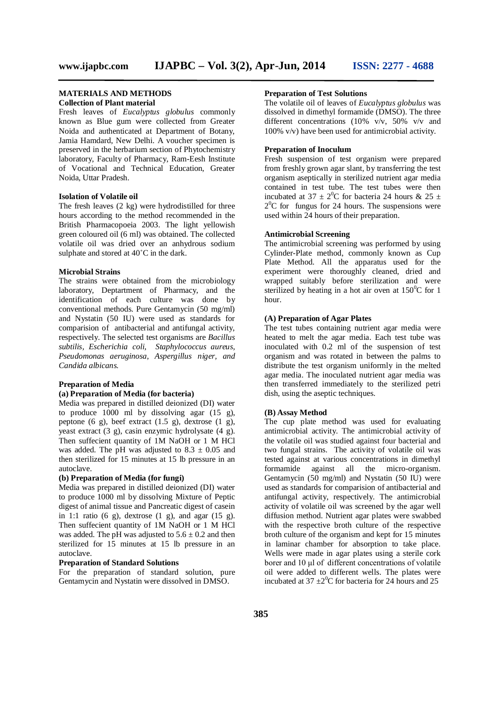#### **MATERIALS AND METHODS Collection of Plant material**

Fresh leaves of *Eucalyptus globulus* commonly known as Blue gum were collected from Greater Noida and authenticated at Department of Botany, Jamia Hamdard, New Delhi. A voucher specimen is preserved in the herbarium section of Phytochemistry laboratory, Faculty of Pharmacy, Ram-Eesh Institute of Vocational and Technical Education, Greater Noida, Uttar Pradesh.

#### **Isolation of Volatile oil**

The fresh leaves (2 kg) were hydrodistilled for three hours according to the method recommended in the British Pharmacopoeia 2003. The light yellowish green coloured oil (6 ml) was obtained. The collected volatile oil was dried over an anhydrous sodium sulphate and stored at 40˚C in the dark.

#### **Microbial Strains**

The strains were obtained from the microbiology laboratory, Deptartment of Pharmacy, and the identification of each culture was done by conventional methods. Pure Gentamycin (50 mg/ml) and Nystatin (50 IU) were used as standards for comparision of antibacterial and antifungal activity, respectively. The selected test organisms are *Bacillus subtilis, Escherichia coli, Staphylococcus aureus, Pseudomonas aeruginosa, Aspergillus niger, and Candida albicans.*

#### **Preparation of Media**

#### **(a) Preparation of Media (for bacteria)**

Media was prepared in distilled deionized (DI) water to produce  $1000$  ml by dissolving agar  $(15 \text{ g})$ , peptone  $(6 \text{ g})$ , beef extract  $(1.5 \text{ g})$ , dextrose  $(1 \text{ g})$ , yeast extract (3 g), casin enzymic hydrolysate (4 g). Then suffecient quantity of 1M NaOH or 1 M HCl was added. The pH was adjusted to  $8.3 \pm 0.05$  and then sterilized for 15 minutes at 15 lb pressure in an autoclave.

#### **(b) Preparation of Media (for fungi)**

Media was prepared in distilled deionized (DI) water to produce 1000 ml by dissolving Mixture of Peptic digest of animal tissue and Pancreatic digest of casein in 1:1 ratio  $(6 \text{ g})$ , dextrose  $(1 \text{ g})$ , and agar  $(15 \text{ g})$ . Then suffecient quantity of 1M NaOH or 1 M HCl was added. The pH was adjusted to  $5.6 \pm 0.2$  and then sterilized for 15 minutes at 15 lb pressure in an autoclave.

#### **Preparation of Standard Solutions**

For the preparation of standard solution, pure Gentamycin and Nystatin were dissolved in DMSO.

#### **Preparation of Test Solutions**

The volatile oil of leaves of *Eucalyptus globulus* was dissolved in dimethyl formamide (DMSO). The three different concentrations (10% v/v, 50% v/v and 100% v/v) have been used for antimicrobial activity.

#### **Preparation of Inoculum**

Fresh suspension of test organism were prepared from freshly grown agar slant, by transferring the test organism aseptically in sterilized nutrient agar media contained in test tube. The test tubes were then incubated at 37  $\pm$  2<sup>0</sup>C for bacteria 24 hours & 25  $\pm$  $2^{0}$ C for fungus for 24 hours. The suspensions were used within 24 hours of their preparation.

#### **Antimicrobial Screening**

The antimicrobial screening was performed by using Cylinder-Plate method, commonly known as Cup Plate Method. All the apparatus used for the experiment were thoroughly cleaned, dried and wrapped suitably before sterilization and were sterilized by heating in a hot air oven at  $150^{\circ}$ C for 1 hour.

#### **(A) Preparation of Agar Plates**

The test tubes containing nutrient agar media were heated to melt the agar media. Each test tube was inoculated with 0.2 ml of the suspension of test organism and was rotated in between the palms to distribute the test organism uniformly in the melted agar media. The inoculated nutrient agar media was then transferred immediately to the sterilized petri dish, using the aseptic techniques.

#### **(B) Assay Method**

The cup plate method was used for evaluating antimicrobial activity. The antimicrobial activity of the volatile oil was studied against four bacterial and two fungal strains. The activity of volatile oil was tested against at various concentrations in dimethyl formamide against all the micro-organism. Gentamycin (50 mg/ml) and Nystatin (50 IU) were used as standards for comparision of antibacterial and antifungal activity, respectively. The antimicrobial activity of volatile oil was screened by the agar well diffusion method. Nutrient agar plates were swabbed with the respective broth culture of the respective broth culture of the organism and kept for 15 minutes in laminar chamber for absorption to take place. Wells were made in agar plates using a sterile cork borer and 10 μl of different concentrations of volatile oil were added to different wells. The plates were incubated at  $37 \pm 2^0$ C for bacteria for 24 hours and 25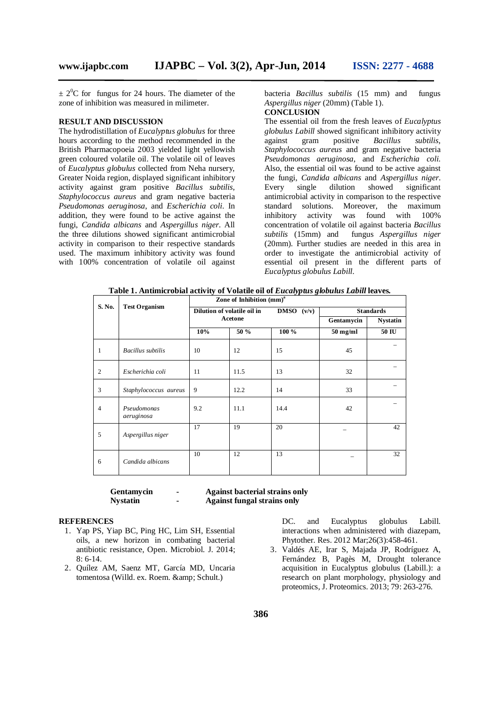$\pm 2^{0}$ C for fungus for 24 hours. The diameter of the zone of inhibition was measured in milimeter.

#### **RESULT AND DISCUSSION**

The hydrodistillation of *Eucalyptus globulus* for three hours according to the method recommended in the British Pharmacopoeia 2003 yielded light yellowish green coloured volatile oil. The volatile oil of leaves of *Eucalyptus globulus* collected from Neha nursery, Greater Noida region, displayed significant inhibitory activity against gram positive *Bacillus subtilis*, *Staphylococcus aureus* and gram negative bacteria *Pseudomonas aeruginosa*, and *Escherichia coli*. In addition, they were found to be active against the fungi, *Candida albicans* and *Aspergillus niger*. All the three dilutions showed significant antimicrobial activity in comparison to their respective standards used. The maximum inhibitory activity was found with 100% concentration of volatile oil against bacteria *Bacillus subtilis* (15 mm) and fungus *Aspergillus niger* (20mm) (Table 1).

### **CONCLUSION**

The essential oil from the fresh leaves of *Eucalyptus globulus Labill* showed significant inhibitory activity against gram positive *Bacillus subtilis*, *Staphylococcus aureus* and gram negative bacteria *Pseudomonas aeruginosa*, and *Escherichia coli*. Also, the essential oil was found to be active against the fungi, *Candida albicans* and *Aspergillus niger*. Every single dilution showed significant antimicrobial activity in comparison to the respective standard solutions. Moreover, the maximum inhibitory activity was found with 100% concentration of volatile oil against bacteria *Bacillus subtilis* (15mm) and fungus *Aspergillus niger*  (20mm). Further studies are needed in this area in order to investigate the antimicrobial activity of essential oil present in the different parts of *Eucalyptus globulus Labill*.

| S. No.         | <b>Test Organism</b>      | Zone of Inhibition $(mm)a$                |      |                  |                    |                 |
|----------------|---------------------------|-------------------------------------------|------|------------------|--------------------|-----------------|
|                |                           | Dilution of volatile oil in<br>DMSO (v/v) |      | <b>Standards</b> |                    |                 |
|                |                           | Acetone                                   |      |                  | Gentamycin         | <b>Nystatin</b> |
|                |                           | 10%                                       | 50 % | 100 %            | $50 \text{ mg/ml}$ | 50 IU           |
| $\mathbf{1}$   | <b>Bacillus</b> subtilis  | 10                                        | 12   | 15               | 45                 |                 |
| $\overline{2}$ | Escherichia coli          | 11                                        | 11.5 | 13               | 32                 |                 |
| 3              | Staphylococcus aureus     | 9                                         | 12.2 | 14               | 33                 |                 |
| $\overline{4}$ | Pseudomonas<br>aeruginosa | 9.2                                       | 11.1 | 14.4             | 42                 |                 |
| 5              | Aspergillus niger         | 17                                        | 19   | 20               |                    | 42              |
| 6              | Candida albicans          | 10                                        | 12   | 13               |                    | 32              |

**Table 1. Antimicrobial activity of Volatile oil of** *Eucalyptus globulus Labill* **leaves***.*

**Gentamycin - Against bacterial strains only**

**Nystatin - Against fungal strains only** 

#### **REFERENCES**

- 1. Yap PS, Yiap BC, Ping HC, Lim SH, Essential oils, a new horizon in combating bacterial antibiotic resistance, Open. Microbiol. J. 2014;  $8: 6-14.$
- 2. Quílez AM, Saenz MT, García MD, Uncaria tomentosa (Willd. ex. Roem. & amp; Schult.)

DC. and Eucalyptus globulus Labill. interactions when administered with diazepam, Phytother. Res. 2012 Mar;26(3):458-461.

3. Valdés AE, Irar S, Majada JP, Rodríguez A, Fernández B, Pagès M, Drought tolerance acquisition in Eucalyptus globulus (Labill.): a research on plant morphology, physiology and proteomics, J. Proteomics. 2013; 79: 263-276.